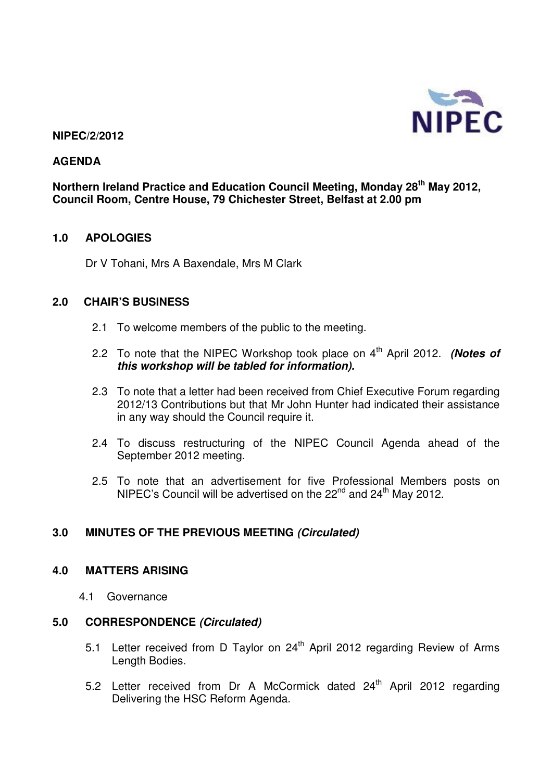

### **NIPEC/2/2012**

### **AGENDA**

**Northern Ireland Practice and Education Council Meeting, Monday 28th May 2012, Council Room, Centre House, 79 Chichester Street, Belfast at 2.00 pm** 

### **1.0 APOLOGIES**

Dr V Tohani, Mrs A Baxendale, Mrs M Clark

### **2.0 CHAIR'S BUSINESS**

- 2.1 To welcome members of the public to the meeting.
- 2.2 To note that the NIPEC Workshop took place on 4<sup>th</sup> April 2012. **(Notes of this workshop will be tabled for information).**
- 2.3 To note that a letter had been received from Chief Executive Forum regarding 2012/13 Contributions but that Mr John Hunter had indicated their assistance in any way should the Council require it.
- 2.4 To discuss restructuring of the NIPEC Council Agenda ahead of the September 2012 meeting.
- 2.5 To note that an advertisement for five Professional Members posts on NIPEC's Council will be advertised on the  $22^{nd}$  and  $24^{th}$  May 2012.

### **3.0 MINUTES OF THE PREVIOUS MEETING (Circulated)**

### **4.0 MATTERS ARISING**

4.1 Governance

#### **5.0 CORRESPONDENCE (Circulated)**

- 5.1 Letter received from D Taylor on 24<sup>th</sup> April 2012 regarding Review of Arms Length Bodies.
- 5.2 Letter received from Dr A McCormick dated 24<sup>th</sup> April 2012 regarding Delivering the HSC Reform Agenda.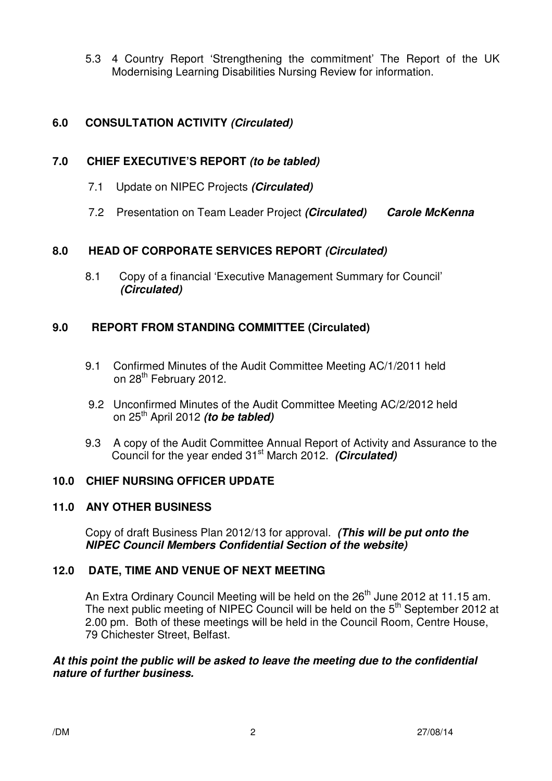5.3 4 Country Report 'Strengthening the commitment' The Report of the UK Modernising Learning Disabilities Nursing Review for information.

# **6.0 CONSULTATION ACTIVITY (Circulated)**

# **7.0 CHIEF EXECUTIVE'S REPORT (to be tabled)**

- 7.1Update on NIPEC Projects **(Circulated)**
- 7.2Presentation on Team Leader Project **(Circulated) Carole McKenna**

# **8.0 HEAD OF CORPORATE SERVICES REPORT (Circulated)**

8.1 Copy of a financial 'Executive Management Summary for Council' **(Circulated)**

# **9.0 REPORT FROM STANDING COMMITTEE (Circulated)**

- 9.1 Confirmed Minutes of the Audit Committee Meeting AC/1/2011 held on 28<sup>th</sup> February 2012.
- 9.2 Unconfirmed Minutes of the Audit Committee Meeting AC/2/2012 held on 25th April 2012 **(to be tabled)**
- 9.3 A copy of the Audit Committee Annual Report of Activity and Assurance to the Council for the year ended 31<sup>st</sup> March 2012. *(Circulated)*

# **10.0 CHIEF NURSING OFFICER UPDATE**

### **11.0 ANY OTHER BUSINESS**

Copy of draft Business Plan 2012/13 for approval. **(This will be put onto the NIPEC Council Members Confidential Section of the website)** 

# **12.0 DATE, TIME AND VENUE OF NEXT MEETING**

An Extra Ordinary Council Meeting will be held on the 26<sup>th</sup> June 2012 at 11.15 am. The next public meeting of NIPEC Council will be held on the 5<sup>th</sup> September 2012 at 2.00 pm. Both of these meetings will be held in the Council Room, Centre House, 79 Chichester Street, Belfast.

### **At this point the public will be asked to leave the meeting due to the confidential nature of further business.**